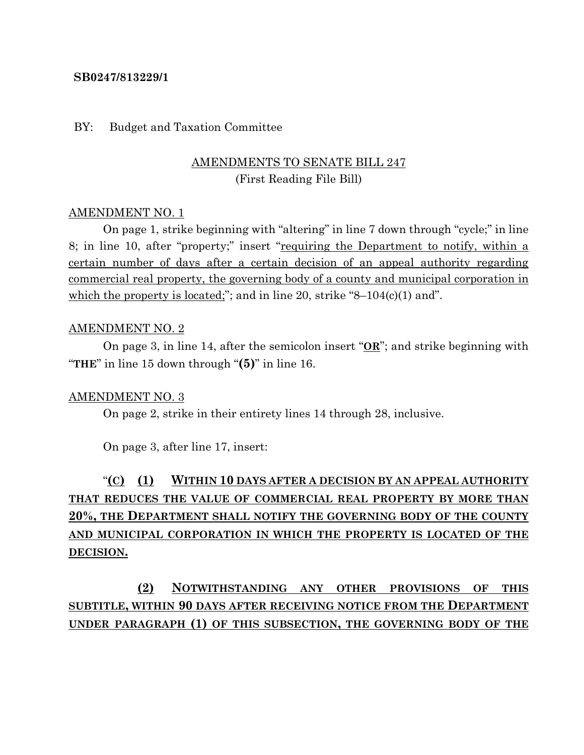#### **SB0247/813229/1**

#### BY: Budget and Taxation Committee

## AMENDMENTS TO SENATE BILL 247 (First Reading File Bill)

#### AMENDMENT NO. 1

On page 1, strike beginning with "altering" in line 7 down through "cycle;" in line 8; in line 10, after "property;" insert "requiring the Department to notify, within a certain number of days after a certain decision of an appeal authority regarding commercial real property, the governing body of a county and municipal corporation in which the property is located;"; and in line 20, strike "8–104 $(c)(1)$  and".

#### AMENDMENT NO. 2

On page 3, in line 14, after the semicolon insert "**OR**"; and strike beginning with "**THE**" in line 15 down through "**(5)**" in line 16.

#### AMENDMENT NO. 3

On page 2, strike in their entirety lines 14 through 28, inclusive.

On page 3, after line 17, insert:

# "**(C) (1) WITHIN 10 DAYS AFTER A DECISION BY AN APPEAL AUTHORITY THAT REDUCES THE VALUE OF COMMERCIAL REAL PROPERTY BY MORE THAN 20%, THE DEPARTMENT SHALL NOTIFY THE GOVERNING BODY OF THE COUNTY AND MUNICIPAL CORPORATION IN WHICH THE PROPERTY IS LOCATED OF THE DECISION.**

**(2) NOTWITHSTANDING ANY OTHER PROVISIONS OF THIS SUBTITLE, WITHIN 90 DAYS AFTER RECEIVING NOTICE FROM THE DEPARTMENT UNDER PARAGRAPH (1) OF THIS SUBSECTION, THE GOVERNING BODY OF THE**